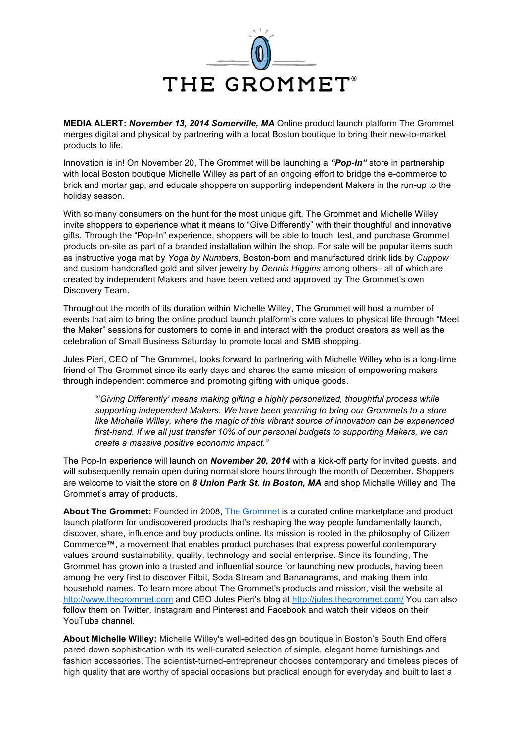

**MEDIA ALERT:** *November 13, 2014 Somerville, MA* Online product launch platform The Grommet merges digital and physical by partnering with a local Boston boutique to bring their new-to-market products to life.

Innovation is in! On November 20, The Grommet will be launching a *"Pop-In"* store in partnership with local Boston boutique Michelle Willey as part of an ongoing effort to bridge the e-commerce to brick and mortar gap, and educate shoppers on supporting independent Makers in the run-up to the holiday season.

With so many consumers on the hunt for the most unique gift, The Grommet and Michelle Willey invite shoppers to experience what it means to "Give Differently" with their thoughtful and innovative gifts. Through the "Pop-In" experience, shoppers will be able to touch, test, and purchase Grommet products on-site as part of a branded installation within the shop. For sale will be popular items such as instructive yoga mat by *Yoga by Numbers*, Boston-born and manufactured drink lids by *Cuppow*  and custom handcrafted gold and silver jewelry by *Dennis Higgins* among others– all of which are created by independent Makers and have been vetted and approved by The Grommet's own Discovery Team.

Throughout the month of its duration within Michelle Willey, The Grommet will host a number of events that aim to bring the online product launch platform's core values to physical life through "Meet the Maker" sessions for customers to come in and interact with the product creators as well as the celebration of Small Business Saturday to promote local and SMB shopping.

Jules Pieri, CEO of The Grommet, looks forward to partnering with Michelle Willey who is a long-time friend of The Grommet since its early days and shares the same mission of empowering makers through independent commerce and promoting gifting with unique goods.

*"'Giving Differently' means making gifting a highly personalized, thoughtful process while supporting independent Makers. We have been yearning to bring our Grommets to a store like Michelle Willey, where the magic of this vibrant source of innovation can be experienced first-hand. If we all just transfer 10% of our personal budgets to supporting Makers, we can create a massive positive economic impact."*

The Pop-In experience will launch on *November 20, 2014* with a kick-off party for invited guests, and will subsequently remain open during normal store hours through the month of December*.* Shoppers are welcome to visit the store on *8 Union Park St. in Boston, MA* and shop Michelle Willey and The Grommet's array of products.

**About The Grommet:** Founded in 2008, The Grommet is a curated online marketplace and product launch platform for undiscovered products that's reshaping the way people fundamentally launch, discover, share, influence and buy products online. Its mission is rooted in the philosophy of Citizen Commerce™, a movement that enables product purchases that express powerful contemporary values around sustainability, quality, technology and social enterprise. Since its founding, The Grommet has grown into a trusted and influential source for launching new products, having been among the very first to discover Fitbit, Soda Stream and Bananagrams, and making them into household names. To learn more about The Grommet's products and mission, visit the website at http://www.thegrommet.com and CEO Jules Pieri's blog at http://jules.thegrommet.com/ You can also follow them on Twitter, Instagram and Pinterest and Facebook and watch their videos on their YouTube channel.

**About Michelle Willey:** Michelle Willey's well-edited design boutique in Boston's South End offers pared down sophistication with its well-curated selection of simple, elegant home furnishings and fashion accessories. The scientist-turned-entrepreneur chooses contemporary and timeless pieces of high quality that are worthy of special occasions but practical enough for everyday and built to last a